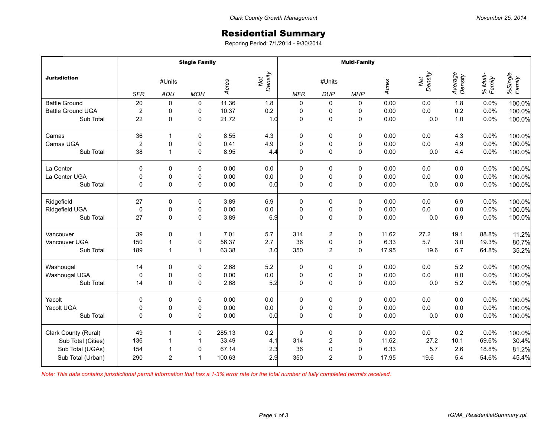## Residential Summary

Reporing Period: 7/1/2014 - 9/30/2014

|                          | <b>Single Family</b> |                |              |        |                | <b>Multi-Family</b> |                      |             |       |                |                    |                    |                   |
|--------------------------|----------------------|----------------|--------------|--------|----------------|---------------------|----------------------|-------------|-------|----------------|--------------------|--------------------|-------------------|
| <b>Jurisdiction</b>      | <b>SFR</b>           | #Units<br>ADU  | <b>MOH</b>   | Acres  | Net<br>Density | <b>MFR</b>          | #Units<br><b>DUP</b> | <b>MHP</b>  | Acres | Net<br>Density | Average<br>Density | % Multi-<br>Family | %Single<br>Family |
| <b>Battle Ground</b>     | 20                   | 0              | 0            | 11.36  | 1.8            | 0                   | 0                    | 0           | 0.00  | 0.0            | 1.8                | 0.0%               | 100.0%            |
| <b>Battle Ground UGA</b> | $\overline{2}$       | 0              | 0            | 10.37  | 0.2            | $\pmb{0}$           | 0                    | 0           | 0.00  | 0.0            | 0.2                | 0.0%               | 100.0%            |
| Sub Total                | 22                   | $\mathbf 0$    | 0            | 21.72  | 1.0            | $\mathbf 0$         | $\pmb{0}$            | $\pmb{0}$   | 0.00  | 0.0            | $1.0$              | 0.0%               | 100.0%            |
| Camas                    | 36                   | $\mathbf{1}$   | 0            | 8.55   | 4.3            | 0                   | 0                    | 0           | 0.00  | 0.0            | 4.3                | 0.0%               | 100.0%            |
| Camas UGA                | $\overline{2}$       | 0              | 0            | 0.41   | 4.9            | $\mathbf 0$         | 0                    | 0           | 0.00  | 0.0            | 4.9                | 0.0%               | 100.0%            |
| Sub Total                | 38                   | $\mathbf{1}$   | 0            | 8.95   | 4.4            | $\pmb{0}$           | $\mathsf{O}\xspace$  | $\pmb{0}$   | 0.00  | 0.0            | 4.4                | 0.0%               | 100.0%            |
| La Center                | $\Omega$             | $\Omega$       | 0            | 0.00   | 0.0            | $\pmb{0}$           | $\pmb{0}$            | $\mathbf 0$ | 0.00  | 0.0            | 0.0                | 0.0%               | 100.0%            |
| La Center UGA            | 0                    | 0              | 0            | 0.00   | $0.0\,$        | $\pmb{0}$           | 0                    | 0           | 0.00  | 0.0            | 0.0                | 0.0%               | 100.0%            |
| Sub Total                | $\Omega$             | $\Omega$       | 0            | 0.00   | 0.0            | $\mathbf 0$         | $\mathsf{O}\xspace$  | $\mathbf 0$ | 0.00  | 0.0            | 0.0                | 0.0%               | 100.0%            |
| Ridgefield               | 27                   | 0              | 0            | 3.89   | 6.9            | $\pmb{0}$           | 0                    | 0           | 0.00  | 0.0            | 6.9                | 0.0%               | 100.0%            |
| Ridgefield UGA           | $\mathbf 0$          | $\pmb{0}$      | 0            | 0.00   | $0.0\,$        | $\pmb{0}$           | $\pmb{0}$            | $\pmb{0}$   | 0.00  | 0.0            | 0.0                | 0.0%               | 100.0%            |
| Sub Total                | 27                   | 0              | $\pmb{0}$    | 3.89   | 6.9            | $\mathbf{0}$        | $\mathsf{O}\xspace$  | $\pmb{0}$   | 0.00  | 0.0            | 6.9                | 0.0%               | 100.0%            |
| Vancouver                | 39                   | 0              | $\mathbf{1}$ | 7.01   | 5.7            | 314                 | $\overline{2}$       | 0           | 11.62 | 27.2           | 19.1               | 88.8%              | 11.2%             |
| Vancouver UGA            | 150                  | $\overline{1}$ | 0            | 56.37  | 2.7            | 36                  | $\pmb{0}$            | $\pmb{0}$   | 6.33  | 5.7            | $3.0\,$            | 19.3%              | 80.7%             |
| Sub Total                | 189                  | $\mathbf{1}$   | $\mathbf{1}$ | 63.38  | 3.0            | 350                 | $\overline{2}$       | $\pmb{0}$   | 17.95 | 19.6           | 6.7                | 64.8%              | 35.2%             |
| Washougal                | 14                   | 0              | 0            | 2.68   | 5.2            | 0                   | 0                    | 0           | 0.00  | 0.0            | 5.2                | 0.0%               | 100.0%            |
| Washougal UGA            | 0                    | 0              | 0            | 0.00   | $0.0\,$        | $\pmb{0}$           | 0                    | 0           | 0.00  | 0.0            | $0.0\,$            | 0.0%               | 100.0%            |
| Sub Total                | 14                   | 0              | 0            | 2.68   | 5.2            | $\mathbf 0$         | $\mathsf 0$          | $\mathbf 0$ | 0.00  | 0.0            | 5.2                | 0.0%               | 100.0%            |
| Yacolt                   | 0                    | 0              | 0            | 0.00   | $0.0\,$        | 0                   | 0                    | 0           | 0.00  | 0.0            | 0.0                | 0.0%               | 100.0%            |
| Yacolt UGA               | $\pmb{0}$            | $\pmb{0}$      | 0            | 0.00   | $0.0\,$        | $\pmb{0}$           | $\pmb{0}$            | $\pmb{0}$   | 0.00  | 0.0            | $0.0\,$            | 0.0%               | 100.0%            |
| Sub Total                | $\Omega$             | $\Omega$       | 0            | 0.00   | 0.0            | $\mathbf 0$         | $\mathsf 0$          | $\mathbf 0$ | 0.00  | 0.0            | 0.0                | 0.0%               | 100.0%            |
| Clark County (Rural)     | 49                   | $\overline{1}$ | 0            | 285.13 | 0.2            | $\pmb{0}$           | $\pmb{0}$            | $\pmb{0}$   | 0.00  | 0.0            | 0.2                | 0.0%               | 100.0%            |
| Sub Total (Cities)       | 136                  | $\mathbf 1$    | $\mathbf{1}$ | 33.49  | 4.1            | 314                 | $\overline{2}$       | $\pmb{0}$   | 11.62 | 27.2           | 10.1               | 69.6%              | 30.4%             |
| Sub Total (UGAs)         | 154                  | $\overline{1}$ | 0            | 67.14  | 2.3            | 36                  | $\pmb{0}$            | $\pmb{0}$   | 6.33  | 5.7            | 2.6                | 18.8%              | 81.2%             |
| Sub Total (Urban)        | 290                  | $\overline{2}$ | $\mathbf{1}$ | 100.63 | 2.9            | 350                 | $\overline{2}$       | $\mathbf 0$ | 17.95 | 19.6           | 5.4                | 54.6%              | 45.4%             |

*Note: This data contains jurisdictional permit information that has a 1-3% error rate for the total number of fully completed permits received.*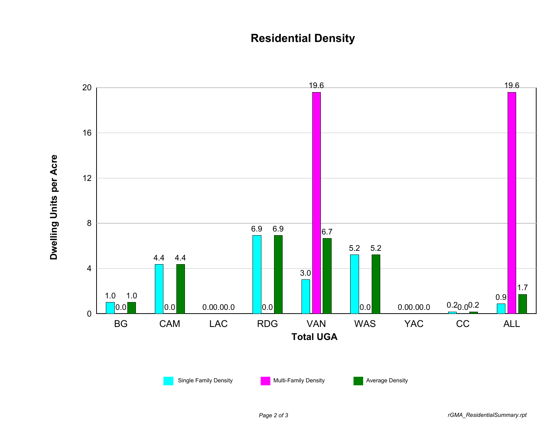## **Residential Density**